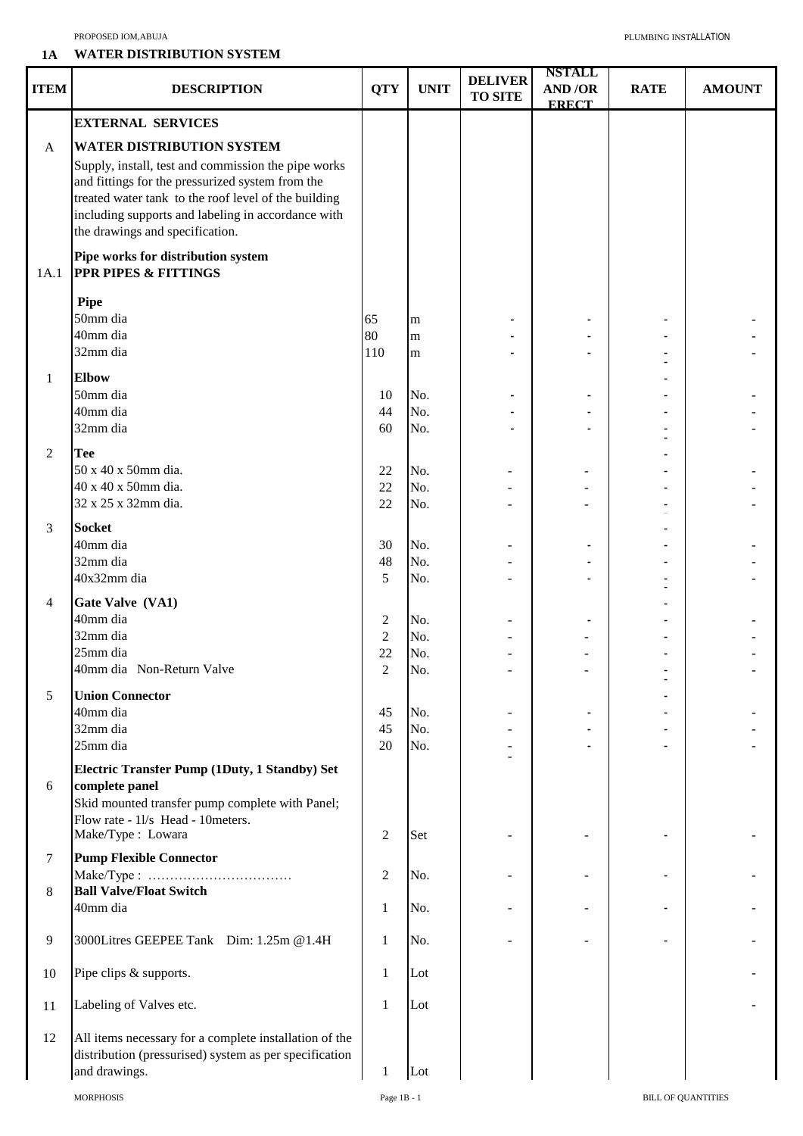## PROPOSED IOM,ABUJA PLUMBING INSTALLATION

## **1A WATER DISTRIBUTION SYSTEM**

| <b>ITEM</b>       | <b>DESCRIPTION</b>                                                                                                                                                                                                                                                                           | <b>QTY</b>                                  | <b>UNIT</b>              | <b>DELIVER</b><br><b>TO SITE</b> | <b>NSTALL</b><br><b>AND/OR</b><br><b>ERECT</b> | <b>RATE</b> | <b>AMOUNT</b> |
|-------------------|----------------------------------------------------------------------------------------------------------------------------------------------------------------------------------------------------------------------------------------------------------------------------------------------|---------------------------------------------|--------------------------|----------------------------------|------------------------------------------------|-------------|---------------|
|                   | <b>EXTERNAL SERVICES</b>                                                                                                                                                                                                                                                                     |                                             |                          |                                  |                                                |             |               |
| A                 | <b>WATER DISTRIBUTION SYSTEM</b><br>Supply, install, test and commission the pipe works<br>and fittings for the pressurized system from the<br>treated water tank to the roof level of the building<br>including supports and labeling in accordance with<br>the drawings and specification. |                                             |                          |                                  |                                                |             |               |
| 1A.1              | Pipe works for distribution system<br><b>PPR PIPES &amp; FITTINGS</b>                                                                                                                                                                                                                        |                                             |                          |                                  |                                                |             |               |
|                   | <b>Pipe</b><br>50mm dia<br>40mm dia<br>32mm dia                                                                                                                                                                                                                                              | 65<br>80<br>110                             | m<br>m<br>m              |                                  |                                                |             |               |
|                   |                                                                                                                                                                                                                                                                                              |                                             |                          |                                  |                                                |             |               |
| $\mathbf{1}$<br>2 | <b>Elbow</b><br>50mm dia<br>40mm dia<br>32mm dia<br><b>Tee</b>                                                                                                                                                                                                                               | 10<br>44<br>60                              | No.<br>No.<br>No.        |                                  |                                                |             |               |
|                   | 50 x 40 x 50mm dia.<br>40 x 40 x 50mm dia.<br>32 x 25 x 32mm dia.                                                                                                                                                                                                                            | 22<br>22<br>22                              | No.<br>No.<br>No.        |                                  |                                                |             |               |
| 3                 | <b>Socket</b><br>40mm dia<br>32mm dia<br>40x32mm dia                                                                                                                                                                                                                                         | 30<br>48<br>5                               | No.<br>No.<br>No.        |                                  |                                                |             |               |
| $\overline{4}$    | Gate Valve (VA1)<br>40mm dia<br>32mm dia<br>25mm dia<br>40mm dia Non-Return Valve                                                                                                                                                                                                            | $\overline{c}$<br>2<br>22<br>$\overline{2}$ | No.<br>No.<br>No.<br>No. |                                  |                                                |             |               |
| 5                 | <b>Union Connector</b><br>40mm dia<br>32mm dia<br>25mm dia                                                                                                                                                                                                                                   | 45<br>45<br>20                              | No.<br>No.<br>No.        |                                  |                                                |             |               |
| 6                 | Electric Transfer Pump (1Duty, 1 Standby) Set<br>complete panel<br>Skid mounted transfer pump complete with Panel;<br>Flow rate - 11/s Head - 10 meters.<br>Make/Type: Lowara                                                                                                                | $\overline{c}$                              | Set                      |                                  |                                                |             |               |
| 7                 | <b>Pump Flexible Connector</b>                                                                                                                                                                                                                                                               |                                             |                          |                                  |                                                |             |               |
| 8                 | <b>Ball Valve/Float Switch</b><br>40mm dia                                                                                                                                                                                                                                                   | $\overline{c}$<br>$\mathbf{1}$              | No.<br>No.               |                                  |                                                |             |               |
| $\overline{9}$    | 3000Litres GEEPEE Tank Dim: 1.25m @1.4H                                                                                                                                                                                                                                                      | $\mathbf{1}$                                | No.                      |                                  |                                                |             |               |
| 10                | Pipe clips & supports.                                                                                                                                                                                                                                                                       | $\mathbf{1}$                                | Lot                      |                                  |                                                |             |               |
| 11                | Labeling of Valves etc.                                                                                                                                                                                                                                                                      | $\mathbf{1}$                                | Lot                      |                                  |                                                |             |               |
| 12                | All items necessary for a complete installation of the<br>distribution (pressurised) system as per specification<br>and drawings.                                                                                                                                                            | $\mathbf{1}$                                | Lot                      |                                  |                                                |             |               |